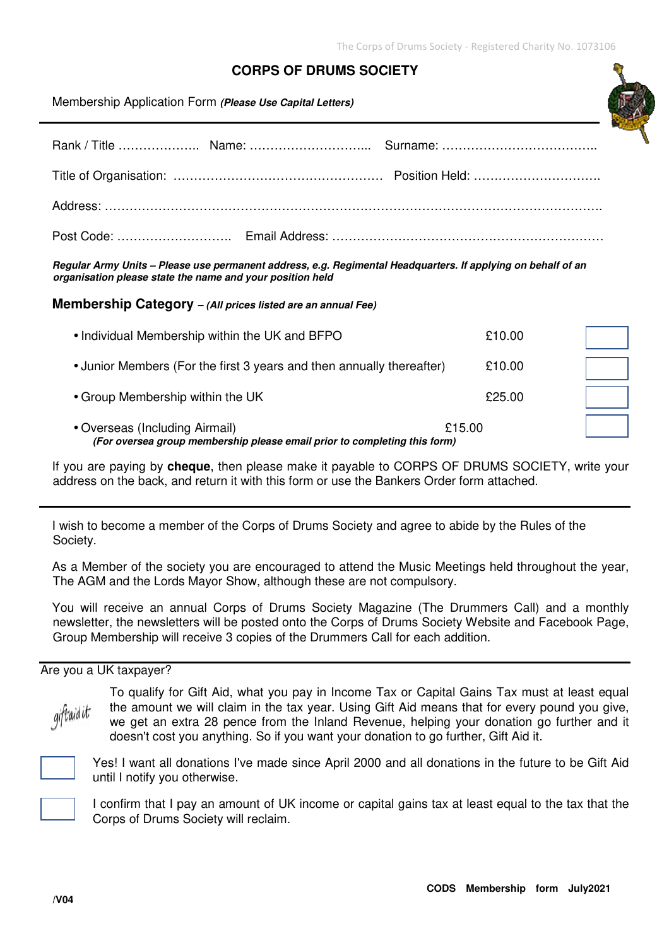## **CORPS OF DRUMS SOCIETY**

Membership Application Form **(Please Use Capital Letters)**

**Regular Army Units – Please use permanent address, e.g. Regimental Headquarters. If applying on behalf of an organisation please state the name and your position held** 

**Membership Category** – **(All prices listed are an annual Fee)**

| (For oversea group membership please email prior to completing this form) |        |  |
|---------------------------------------------------------------------------|--------|--|
| • Overseas (Including Airmail)<br>£15.00                                  |        |  |
| • Group Membership within the UK                                          | £25.00 |  |
| • Junior Members (For the first 3 years and then annually thereafter)     | £10.00 |  |
| • Individual Membership within the UK and BFPO                            | £10.00 |  |

If you are paying by **cheque**, then please make it payable to CORPS OF DRUMS SOCIETY, write your address on the back, and return it with this form or use the Bankers Order form attached.

I wish to become a member of the Corps of Drums Society and agree to abide by the Rules of the Society.

As a Member of the society you are encouraged to attend the Music Meetings held throughout the year, The AGM and the Lords Mayor Show, although these are not compulsory.

You will receive an annual Corps of Drums Society Magazine (The Drummers Call) and a monthly newsletter, the newsletters will be posted onto the Corps of Drums Society Website and Facebook Page, Group Membership will receive 3 copies of the Drummers Call for each addition.

## Are you a UK taxpayer?



To qualify for Gift Aid, what you pay in Income Tax or Capital Gains Tax must at least equal the amount we will claim in the tax year. Using Gift Aid means that for every pound you give, we get an extra 28 pence from the Inland Revenue, helping your donation go further and it doesn't cost you anything. So if you want your donation to go further, Gift Aid it.



Yes! I want all donations I've made since April 2000 and all donations in the future to be Gift Aid until I notify you otherwise.



I confirm that I pay an amount of UK income or capital gains tax at least equal to the tax that the Corps of Drums Society will reclaim.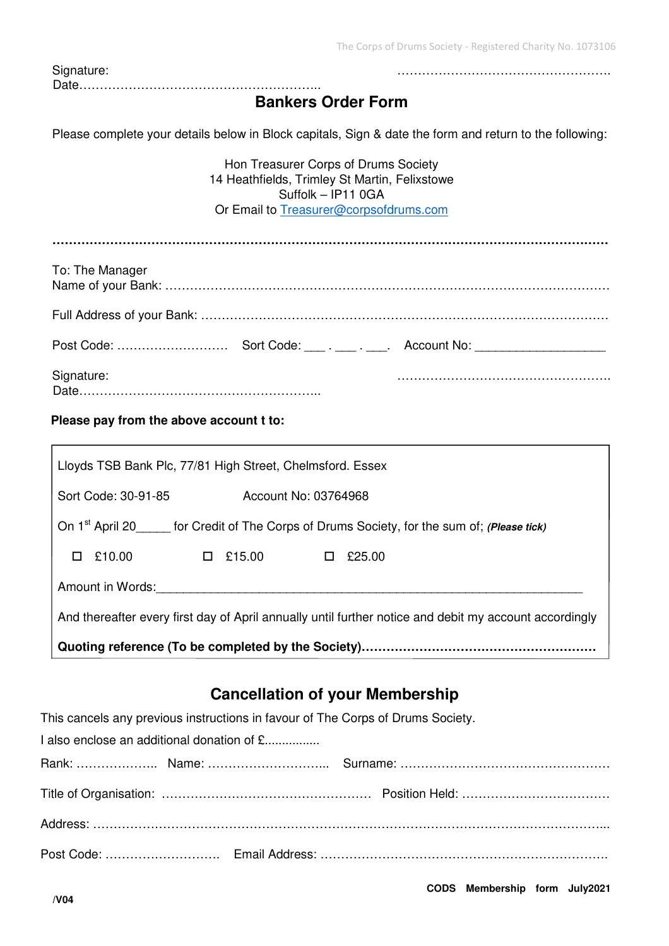The Corps of Drums Society - Registered Charity No. 1073106

| Signature:                                                                                                                                                                                                                                                                                                                         |                                                                                                                                                       |
|------------------------------------------------------------------------------------------------------------------------------------------------------------------------------------------------------------------------------------------------------------------------------------------------------------------------------------|-------------------------------------------------------------------------------------------------------------------------------------------------------|
|                                                                                                                                                                                                                                                                                                                                    | <b>Bankers Order Form</b>                                                                                                                             |
|                                                                                                                                                                                                                                                                                                                                    | Please complete your details below in Block capitals, Sign & date the form and return to the following:                                               |
|                                                                                                                                                                                                                                                                                                                                    | Hon Treasurer Corps of Drums Society<br>14 Heathfields, Trimley St Martin, Felixstowe<br>Suffolk - IP11 0GA<br>Or Email to Treasurer@corpsofdrums.com |
|                                                                                                                                                                                                                                                                                                                                    |                                                                                                                                                       |
| To: The Manager                                                                                                                                                                                                                                                                                                                    |                                                                                                                                                       |
|                                                                                                                                                                                                                                                                                                                                    |                                                                                                                                                       |
|                                                                                                                                                                                                                                                                                                                                    |                                                                                                                                                       |
| Signature:                                                                                                                                                                                                                                                                                                                         |                                                                                                                                                       |
| Please pay from the above account t to:                                                                                                                                                                                                                                                                                            |                                                                                                                                                       |
| Lloyds TSB Bank Plc, 77/81 High Street, Chelmsford. Essex                                                                                                                                                                                                                                                                          |                                                                                                                                                       |
| Sort Code: 30-91-85                                                                                                                                                                                                                                                                                                                | Account No: 03764968                                                                                                                                  |
| $\alpha$ , $\beta$ , $\alpha$ , $\alpha$ , $\alpha$ , $\beta$ , $\alpha$ , $\beta$ , $\beta$ , $\beta$ , $\beta$ , $\beta$ , $\beta$ , $\beta$ , $\beta$ , $\beta$ , $\beta$ , $\beta$ , $\beta$ , $\beta$ , $\beta$ , $\beta$ , $\beta$ , $\beta$ , $\beta$ , $\beta$ , $\beta$ , $\beta$ , $\beta$ , $\beta$ , $\beta$ , $\beta$ |                                                                                                                                                       |

On 1<sup>st</sup> April 20\_\_\_\_\_ for Credit of The Corps of Drums Society, for the sum of; (Please tick)

 $\Box$  £10.00  $\Box$  £15.00  $\Box$  £25.00

Amount in Words:

And thereafter every first day of April annually until further notice and debit my account accordingly

**Quoting reference (To be completed by the Society)…………………………………………………** 

## **Cancellation of your Membership**

| This cancels any previous instructions in favour of The Corps of Drums Society. |  |
|---------------------------------------------------------------------------------|--|
| I also enclose an additional donation of £                                      |  |
|                                                                                 |  |
|                                                                                 |  |
|                                                                                 |  |
|                                                                                 |  |